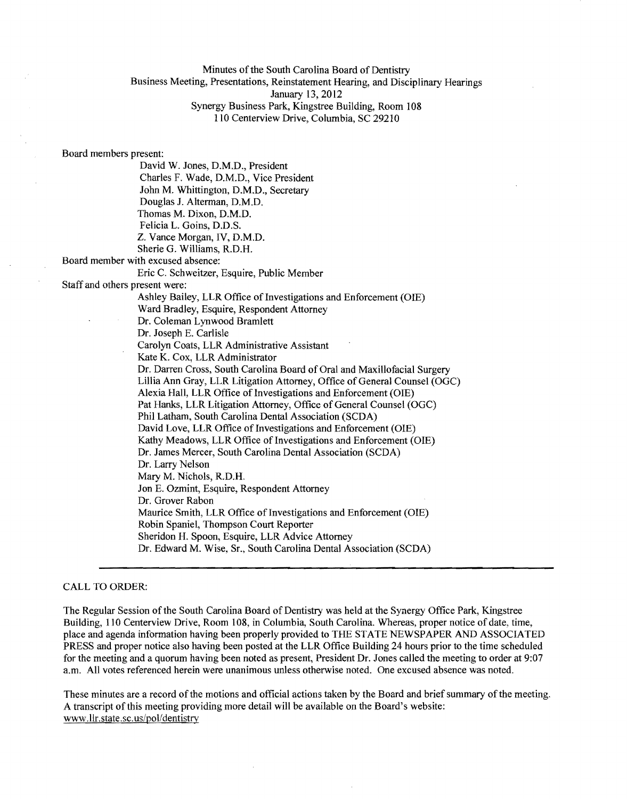Minutes of the South Carolina Board of Dentistry

Business Meeting, Presentations, Reinstatement Hearing, and Disciplinary Hearings

January 13, 2012

Synergy Business Park, Kingstree Building, Room 108 110 Centerview Drive, Columbia, SC 29210

Board members present:

David W. Jones, D.M.D., President Charles F. Wade, D.M.D., Vice President John M. Whittington, D.M.D., Secretary Douglas J. Alterman, D.M.D. Thomas M. Dixon, D.M.D. Felicia L. Goins, D.D.S. Z. Vance Morgan, IV, D.M.D. Sherie G. Williams, R.D.H. Board member with excused absence: Eric C. Schweitzer, Esquire, Public Member Staff and others present were: Ashley Bailey, LLR Office of Investigations and Enforcement (OIE) Ward Bradley, Esquire, Respondent Attorney Dr. Coleman Lynwood Bramlett Dr. Joseph E. Carlisle

> Carolyn Coats, LLR Administrative Assistant Kate K. Cox, LLR Administrator

Dr. Darren Cross, South Carolina Board of Oral and Maxillofacial Surgery Lillia Ann Gray, LLR Litigation Attorney, Office of General Counsel (OGC) Alexia Hall, LLR Office of Investigations and Enforcement (OlE) Pat Hanks, LLR Litigation Attorney, Office of General Counsel (OGC) Phil Latham, South Carolina Dental Association (SCDA) David Love, LLR Office of Investigations and Enforcement (OIE) Kathy Meadows, LLR Office of Investigations and Enforcement (OIE) Dr. James Mercer, South Carolina Dental Association (SCDA) Dr. Larry Nelson Mary M. Nichols, R.D.H. Jon E. Ozmint, Esquire, Respondent Attorney Dr. Grover Rabon Maurice Smith, LLR Office of Investigations and Enforcement (OIE) Robin Spaniel, Thompson Court Reporter Sheridon H. Spoon, Esquire, LLR Advice Attorney Dr. Edward M. Wise, Sr., South Carolina Dental Association (SCDA)

# CALL TO ORDER:

The Regular Session ofthe South Carolina Board of Dentistry was held at the Synergy Office Park, Kingstree Building, 110 Centerview Drive, Room 108, in Columbia, South Carolina. Whereas, proper notice of date, time, place and agenda information having been properly provided to THE STATE NEWSPAPER AND ASSOCIATED PRESS and proper notice also having been posted at the LLR Office Building 24 hours prior to the time scheduled for the meeting and a quorum having been noted as present, President Dr. Jones called the meeting to order at 9:07 a.m. All votes referenced herein were unanimous unless otherwise noted. One excused absence was noted.

These minutes are a record of the motions and official actions taken by the Board and brief summary of the meeting. A transcript ofthis meeting providing more detail will be available on the Board's website: www.llr.state.sc.us/pol/dentistry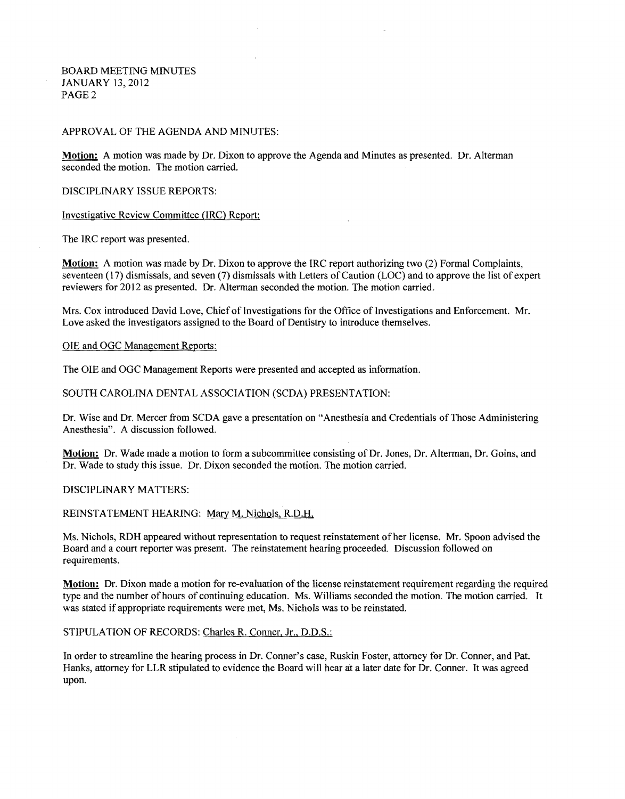BOARD MEETING MINUTES JANUARY 13,2012 PAGE 2

#### APPROVAL OF THE AGENDA AND MINUTES:

Motion: A motion was made by Dr. Dixon to approve the Agenda and Minutes as presented. Dr. Alterman seconded the motion. The motion carried.

DISCIPLINARY ISSUE REPORTS:

Investigative Review Committee (IRC) Report:

The IRC report was presented.

Motion: A motion was made by Dr. Dixon to approve the IRC report authorizing two (2) Formal Complaints, seventeen (17) dismissals, and seven (7) dismissals with Letters of Caution (LOC) and to approve the list of expert reviewers for 2012 as presented. Dr. Alterman seconded the motion. The motion carried.

Mrs. Cox introduced David Love, Chief of Investigations for the Office of Investigations and Enforcement. Mr. Love asked the investigators assigned to the Board of Dentistry to introduce themselves.

## OlE and OGC Management Reports:

The OlE and OGC Management Reports were presented and accepted as information.

#### SOUTH CAROLINA DENTAL ASSOCIATION (SCDA) PRESENTATION:

Dr. Wise and Dr. Mercer from SCDA gave a presentation on "Anesthesia and Credentials ofThose Administering Anesthesia". A discussion followed.

Motion: Dr. Wade made a motion to form a subcommittee consisting of Dr. Jones, Dr. Alterman, Dr. Goins, and Dr. Wade to study this issue. Dr. Dixon seconded the motion. The motion carried.

DISCIPLINARY MATTERS:

REINSTATEMENT HEARING: Mary M. Nichols, R.D.H.

Ms. Nichols, RDH appeared without representation to request reinstatement ofher license. Mr. Spoon advised the Board and a court reporter was present. The reinstatement hearing proceeded. Discussion followed on requirements.

Motion: Dr. Dixon made a motion for re-evaluation of the license reinstatement requirement regarding the required type and the number of hours of continuing education. Ms. Williams seconded the motion. The motion carried. It was stated if appropriate requirements were met, Ms. Nichols was to be reinstated.

# STIPULATION OF RECORDS: Charles R. Conner, Jr., D.D.S.:

In order to streamline the hearing process in Dr. Conner's case, Ruskin Foster, attorney for Dr. Conner, and Pat. Hanks, attorney for LLR stipulated to evidence the Board will hear at a later date for Dr. Conner. It was agreed upon.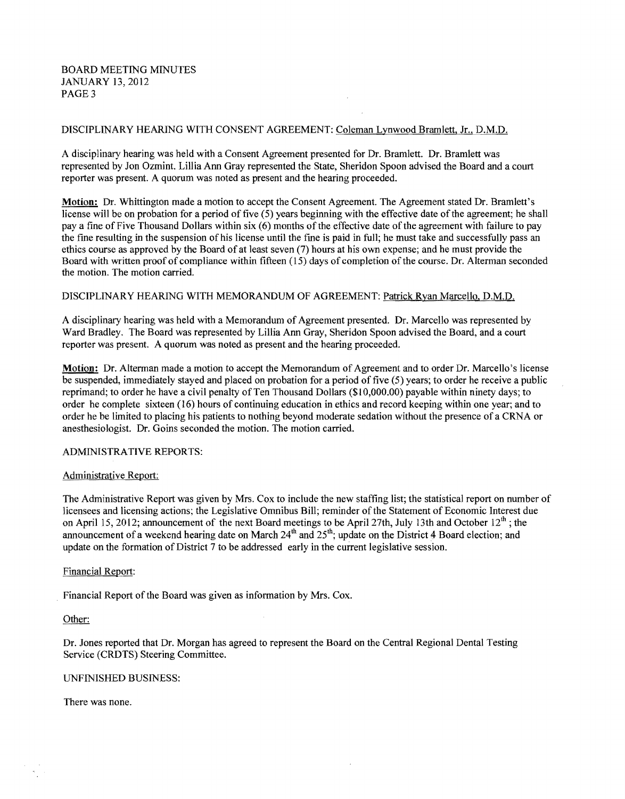BOARD MEETING MINUTES JANUARY 13,2012 PAGE 3

# DISCIPLINARY HEARING WITH CONSENT AGREEMENT: Coleman Lynwood Bramlett, Jr., D.M.D.

A disciplinary hearing was held with a Consent Agreement presented for Dr. Bramlett. Dr. Bramlett was represented by Jon Ozmint. Lillia Ann Gray represented the State, Sheridon Spoon advised the Board and a court reporter was present. A quorum was noted as present and the hearing proceeded.

Motion: Dr. Whittington made a motion to accept the Consent Agreement. The Agreement stated Dr. Bramlett's license will be on probation for a period of five (5) years beginning with the effective date ofthe agreement; he shall pay a fine of Five Thousand Dollars within six (6) months of the effective date of the agreement with failure to pay the fine resulting in the suspension of his license until the fme is paid in full; he must take and successfully pass an ethics course as approved by the Board of at least seven (7) hours at his own expense; and he must provide the Board with written proof of compliance within fifteen (15) days of completion ofthe course. Dr. Alterman seconded the motion. The motion carried.

## DISCIPLINARY HEARING WITH MEMORANDUM OF AGREEMENT: Patrick Ryan Marcello, D.M.D.

A disciplinary hearing was held with a Memorandum of Agreement presented. Dr. Marcello was represented by Ward Bradley. The Board was represented by Lillia Ann Gray, Sheridon Spoon advised the Board, and a court reporter was present. A quorum was noted as present and the hearing proceeded.

Motion: Dr. Alterman made a motion to accept the Memorandum of Agreement and to order Dr. Marcello'S license be suspended, immediately stayed and placed on probation for a period of five (5) years; to order he receive a public reprimand; to order he have a civil penalty of Ten Thousand Dollars (\$10,000.00) payable within ninety days; to order he complete sixteen (16) hours of continuing education in ethics and record keeping within one year; and to order he be limited to placing his patients to nothing beyond moderate sedation without the presence of a CRNA or anesthesiologist. Dr. Goins seconded the motion. The motion carried.

## ADMINISTRATIVE REPORTS:

## Administrative Report:

The Administrative Report was given by Mrs. Cox to include the new staffing list; the statistical report on number of licensees and licensing actions; the Legislative Omnibus Bill; reminder of the Statement of Economic Interest due on April 15, 2012; announcement of the next Board meetings to be April 27th, July 13th and October  $12<sup>th</sup>$ ; the announcement of a weekend hearing date on March 24<sup>th</sup> and 25<sup>th</sup>; update on the District 4 Board election; and update on the formation of District 7 to be addressed early in the current legislative session.

## Financial Report:

Financial Report of the Board was given as information by Mrs. Cox.

# Other:

Dr. Jones reported that Dr. Morgan has agreed to represent the Board on the Central Regional Dental Testing Service (CRDTS) Steering Committee.

## UNFINISHED BUSINESS:

There was none.